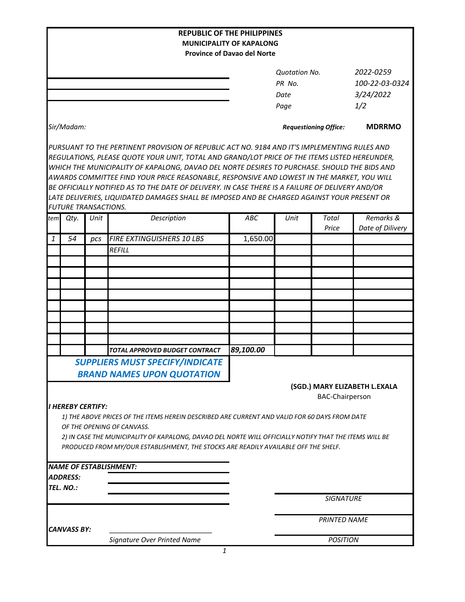|                            |                 |                             |                                                                                                                                                                                                                                                                                                                                                                                                                                                                                                                                                                                                | <b>REPUBLIC OF THE PHILIPPINES</b>                      |                              |                 |                  |
|----------------------------|-----------------|-----------------------------|------------------------------------------------------------------------------------------------------------------------------------------------------------------------------------------------------------------------------------------------------------------------------------------------------------------------------------------------------------------------------------------------------------------------------------------------------------------------------------------------------------------------------------------------------------------------------------------------|---------------------------------------------------------|------------------------------|-----------------|------------------|
|                            |                 |                             |                                                                                                                                                                                                                                                                                                                                                                                                                                                                                                                                                                                                | <b>MUNICIPALITY OF KAPALONG</b>                         |                              |                 |                  |
|                            |                 |                             |                                                                                                                                                                                                                                                                                                                                                                                                                                                                                                                                                                                                | <b>Province of Davao del Norte</b>                      |                              |                 |                  |
|                            |                 |                             |                                                                                                                                                                                                                                                                                                                                                                                                                                                                                                                                                                                                |                                                         | <b>Ouotation No.</b>         |                 | 2022-0259        |
|                            |                 |                             |                                                                                                                                                                                                                                                                                                                                                                                                                                                                                                                                                                                                | PR No.                                                  |                              | 100-22-03-0324  |                  |
|                            |                 |                             |                                                                                                                                                                                                                                                                                                                                                                                                                                                                                                                                                                                                |                                                         | Date                         |                 | 3/24/2022        |
|                            |                 |                             |                                                                                                                                                                                                                                                                                                                                                                                                                                                                                                                                                                                                |                                                         | Page                         |                 | 1/2              |
| Sir/Madam:                 |                 |                             |                                                                                                                                                                                                                                                                                                                                                                                                                                                                                                                                                                                                |                                                         | <b>Requestioning Office:</b> |                 | <b>MDRRMO</b>    |
|                            |                 |                             | PURSUANT TO THE PERTINENT PROVISION OF REPUBLIC ACT NO. 9184 AND IT'S IMPLEMENTING RULES AND<br>REGULATIONS, PLEASE QUOTE YOUR UNIT, TOTAL AND GRAND/LOT PRICE OF THE ITEMS LISTED HEREUNDER,<br>WHICH THE MUNICIPALITY OF KAPALONG, DAVAO DEL NORTE DESIRES TO PURCHASE. SHOULD THE BIDS AND<br>AWARDS COMMITTEE FIND YOUR PRICE REASONABLE, RESPONSIVE AND LOWEST IN THE MARKET, YOU WILL<br>BE OFFICIALLY NOTIFIED AS TO THE DATE OF DELIVERY. IN CASE THERE IS A FAILURE OF DELIVERY AND/OR<br>LATE DELIVERIES, LIQUIDATED DAMAGES SHALL BE IMPOSED AND BE CHARGED AGAINST YOUR PRESENT OR |                                                         |                              |                 |                  |
|                            |                 | <b>FUTURE TRANSACTIONS.</b> |                                                                                                                                                                                                                                                                                                                                                                                                                                                                                                                                                                                                |                                                         |                              |                 |                  |
| tem                        | Qty.            | Unit                        | Description                                                                                                                                                                                                                                                                                                                                                                                                                                                                                                                                                                                    | ABC                                                     | Unit                         | <b>Total</b>    | Remarks &        |
| $\mathbf{1}$               | 54              | pcs                         | <b>FIRE EXTINGUISHERS 10 LBS</b>                                                                                                                                                                                                                                                                                                                                                                                                                                                                                                                                                               | 1,650.00                                                |                              | Price           | Date of Dilivery |
|                            |                 |                             | <b>REFILL</b>                                                                                                                                                                                                                                                                                                                                                                                                                                                                                                                                                                                  |                                                         |                              |                 |                  |
|                            |                 |                             |                                                                                                                                                                                                                                                                                                                                                                                                                                                                                                                                                                                                |                                                         |                              |                 |                  |
|                            |                 |                             |                                                                                                                                                                                                                                                                                                                                                                                                                                                                                                                                                                                                |                                                         |                              |                 |                  |
|                            |                 |                             |                                                                                                                                                                                                                                                                                                                                                                                                                                                                                                                                                                                                |                                                         |                              |                 |                  |
|                            |                 |                             |                                                                                                                                                                                                                                                                                                                                                                                                                                                                                                                                                                                                |                                                         |                              |                 |                  |
|                            |                 |                             |                                                                                                                                                                                                                                                                                                                                                                                                                                                                                                                                                                                                |                                                         |                              |                 |                  |
|                            |                 |                             |                                                                                                                                                                                                                                                                                                                                                                                                                                                                                                                                                                                                |                                                         |                              |                 |                  |
|                            |                 |                             |                                                                                                                                                                                                                                                                                                                                                                                                                                                                                                                                                                                                |                                                         |                              |                 |                  |
|                            |                 |                             |                                                                                                                                                                                                                                                                                                                                                                                                                                                                                                                                                                                                |                                                         |                              |                 |                  |
|                            |                 |                             | TOTAL APPROVED BUDGET CONTRACT                                                                                                                                                                                                                                                                                                                                                                                                                                                                                                                                                                 | 89,100.00                                               |                              |                 |                  |
|                            |                 |                             | <b>SUPPLIERS MUST SPECIFY/INDICATE</b>                                                                                                                                                                                                                                                                                                                                                                                                                                                                                                                                                         |                                                         |                              |                 |                  |
|                            |                 |                             | <b>BRAND NAMES UPON QUOTATION</b>                                                                                                                                                                                                                                                                                                                                                                                                                                                                                                                                                              |                                                         |                              |                 |                  |
|                            |                 |                             |                                                                                                                                                                                                                                                                                                                                                                                                                                                                                                                                                                                                | (SGD.) MARY ELIZABETH L.EXALA<br><b>BAC-Chairperson</b> |                              |                 |                  |
|                            |                 | <b>I HEREBY CERTIFY:</b>    |                                                                                                                                                                                                                                                                                                                                                                                                                                                                                                                                                                                                |                                                         |                              |                 |                  |
|                            |                 |                             | 1) THE ABOVE PRICES OF THE ITEMS HEREIN DESCRIBED ARE CURRENT AND VALID FOR 60 DAYS FROM DATE                                                                                                                                                                                                                                                                                                                                                                                                                                                                                                  |                                                         |                              |                 |                  |
| OF THE OPENING OF CANVASS. |                 |                             |                                                                                                                                                                                                                                                                                                                                                                                                                                                                                                                                                                                                |                                                         |                              |                 |                  |
|                            |                 |                             | 2) IN CASE THE MUNICIPALITY OF KAPALONG, DAVAO DEL NORTE WILL OFFICIALLY NOTIFY THAT THE ITEMS WILL BE                                                                                                                                                                                                                                                                                                                                                                                                                                                                                         |                                                         |                              |                 |                  |
|                            |                 |                             | PRODUCED FROM MY/OUR ESTABLISHMENT, THE STOCKS ARE READILY AVAILABLE OFF THE SHELF.                                                                                                                                                                                                                                                                                                                                                                                                                                                                                                            |                                                         |                              |                 |                  |
|                            |                 |                             |                                                                                                                                                                                                                                                                                                                                                                                                                                                                                                                                                                                                |                                                         |                              |                 |                  |
|                            |                 |                             | <b>NAME OF ESTABLISHMENT:</b>                                                                                                                                                                                                                                                                                                                                                                                                                                                                                                                                                                  |                                                         |                              |                 |                  |
|                            | <b>ADDRESS:</b> |                             |                                                                                                                                                                                                                                                                                                                                                                                                                                                                                                                                                                                                |                                                         |                              |                 |                  |
| TEL. NO.:                  |                 |                             |                                                                                                                                                                                                                                                                                                                                                                                                                                                                                                                                                                                                |                                                         | <b>SIGNATURE</b>             |                 |                  |
|                            |                 |                             |                                                                                                                                                                                                                                                                                                                                                                                                                                                                                                                                                                                                |                                                         |                              |                 |                  |
|                            |                 |                             |                                                                                                                                                                                                                                                                                                                                                                                                                                                                                                                                                                                                |                                                         | <b>PRINTED NAME</b>          |                 |                  |
| <b>CANVASS BY:</b>         |                 |                             |                                                                                                                                                                                                                                                                                                                                                                                                                                                                                                                                                                                                |                                                         |                              |                 |                  |
|                            |                 |                             | Signature Over Printed Name                                                                                                                                                                                                                                                                                                                                                                                                                                                                                                                                                                    |                                                         |                              | <b>POSITION</b> |                  |
|                            |                 |                             | 1                                                                                                                                                                                                                                                                                                                                                                                                                                                                                                                                                                                              |                                                         |                              |                 |                  |